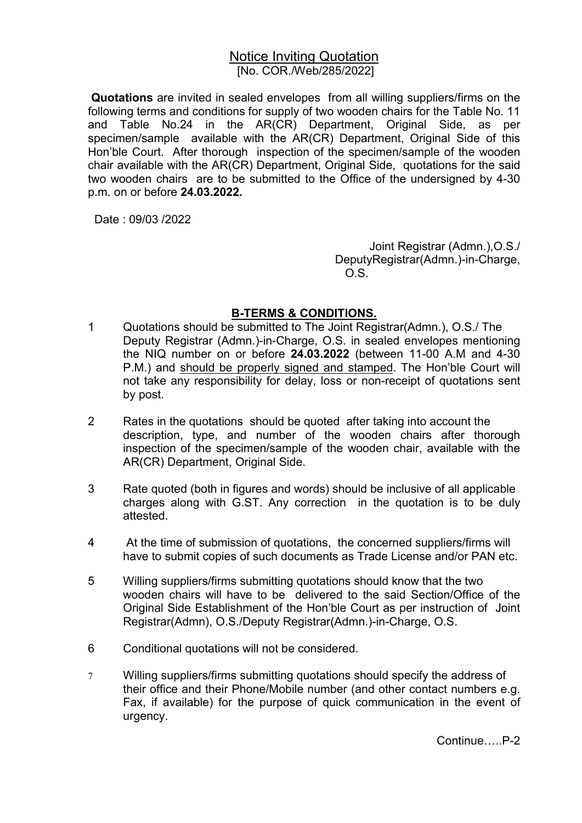## Notice Inviting Quotation [No. COR./Web/285/2022]

 Quotations are invited in sealed envelopes from all willing suppliers/firms on the following terms and conditions for supply of two wooden chairs for the Table No. 11 and Table No.24 in the AR(CR) Department, Original Side, as per specimen/sample available with the AR(CR) Department, Original Side of this Hon'ble Court. After thorough inspection of the specimen/sample of the wooden chair available with the AR(CR) Department, Original Side, quotations for the said two wooden chairs are to be submitted to the Office of the undersigned by 4-30 p.m. on or before 24.03.2022.

Date : 09/03 /2022

Joint Registrar (Admn.),O.S./ DeputyRegistrar(Admn.)-in-Charge, O.S.

## B-TERMS & CONDITIONS.

- 1 Quotations should be submitted to The Joint Registrar(Admn.), O.S./ The Deputy Registrar (Admn.)-in-Charge, O.S. in sealed envelopes mentioning the NIQ number on or before 24.03.2022 (between 11-00 A.M and 4-30 P.M.) and should be properly signed and stamped. The Hon'ble Court will not take any responsibility for delay, loss or non-receipt of quotations sent by post.
- 2 Rates in the quotations should be quoted after taking into account the description, type, and number of the wooden chairs after thorough inspection of the specimen/sample of the wooden chair, available with the AR(CR) Department, Original Side.
- 3 Rate quoted (both in figures and words) should be inclusive of all applicable charges along with G.ST. Any correction in the quotation is to be duly attested.
- 4 At the time of submission of quotations, the concerned suppliers/firms will have to submit copies of such documents as Trade License and/or PAN etc.
- 5 Willing suppliers/firms submitting quotations should know that the two wooden chairs will have to be delivered to the said Section/Office of the Original Side Establishment of the Hon'ble Court as per instruction of Joint Registrar(Admn), O.S./Deputy Registrar(Admn.)-in-Charge, O.S.
- 6 Conditional quotations will not be considered.
- 7 Willing suppliers/firms submitting quotations should specify the address of their office and their Phone/Mobile number (and other contact numbers e.g. Fax, if available) for the purpose of quick communication in the event of urgency.

Continue…..P-2